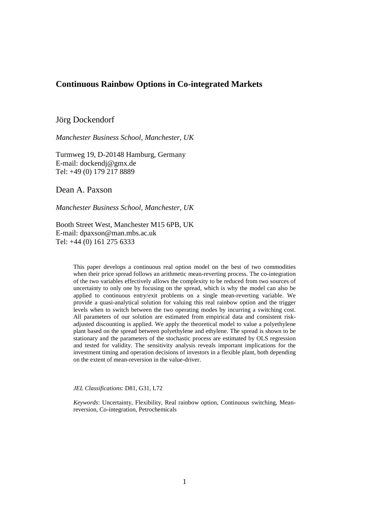## **Continuous Rainbow Options in Co-integrated Markets**

Jörg Dockendorf

*Manchester Business School, Manchester, UK* 

Turmweg 19, D-20148 Hamburg, Germany E-mail: dockendj@gmx.de Tel: +49 (0) 179 217 8889

Dean A. Paxson

*Manchester Business School, Manchester, UK* 

Booth Street West, Manchester M15 6PB, UK E-mail: dpaxson@man.mbs.ac.uk Tel: +44 (0) 161 275 6333

> This paper develops a continuous real option model on the best of two commodities when their price spread follows an arithmetic mean-reverting process. The co-integration of the two variables effectively allows the complexity to be reduced from two sources of uncertainty to only one by focusing on the spread, which is why the model can also be applied to continuous entry/exit problems on a single mean-reverting variable. We provide a quasi-analytical solution for valuing this real rainbow option and the trigger levels when to switch between the two operating modes by incurring a switching cost. All parameters of our solution are estimated from empirical data and consistent riskadjusted discounting is applied. We apply the theoretical model to value a polyethylene plant based on the spread between polyethylene and ethylene. The spread is shown to be stationary and the parameters of the stochastic process are estimated by OLS regression and tested for validity. The sensitivity analysis reveals important implications for the investment timing and operation decisions of investors in a flexible plant, both depending on the extent of mean-reversion in the value-driver.

*JEL Classifications*: D81, G31, L72

*Keywords*: Uncertainty, Flexibility, Real rainbow option, Continuous switching, Meanreversion, Co-integration, Petrochemicals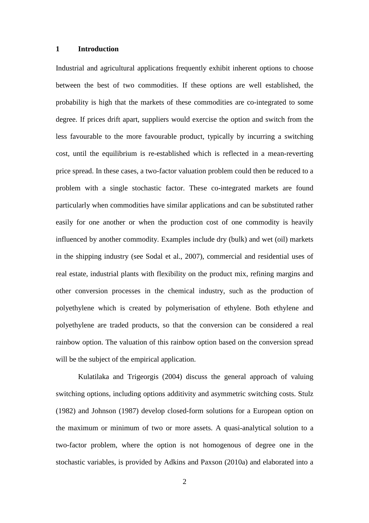### **1 Introduction**

Industrial and agricultural applications frequently exhibit inherent options to choose between the best of two commodities. If these options are well established, the probability is high that the markets of these commodities are co-integrated to some degree. If prices drift apart, suppliers would exercise the option and switch from the less favourable to the more favourable product, typically by incurring a switching cost, until the equilibrium is re-established which is reflected in a mean-reverting price spread. In these cases, a two-factor valuation problem could then be reduced to a problem with a single stochastic factor. These co-integrated markets are found particularly when commodities have similar applications and can be substituted rather easily for one another or when the production cost of one commodity is heavily influenced by another commodity. Examples include dry (bulk) and wet (oil) markets in the shipping industry (see Sodal et al., 2007), commercial and residential uses of real estate, industrial plants with flexibility on the product mix, refining margins and other conversion processes in the chemical industry, such as the production of polyethylene which is created by polymerisation of ethylene. Both ethylene and polyethylene are traded products, so that the conversion can be considered a real rainbow option. The valuation of this rainbow option based on the conversion spread will be the subject of the empirical application.

Kulatilaka and Trigeorgis (2004) discuss the general approach of valuing switching options, including options additivity and asymmetric switching costs. Stulz (1982) and Johnson (1987) develop closed-form solutions for a European option on the maximum or minimum of two or more assets. A quasi-analytical solution to a two-factor problem, where the option is not homogenous of degree one in the stochastic variables, is provided by Adkins and Paxson (2010a) and elaborated into a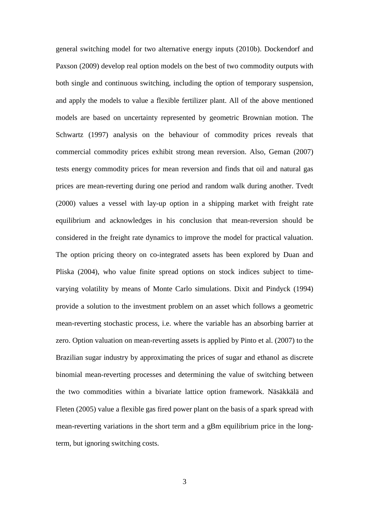general switching model for two alternative energy inputs (2010b). Dockendorf and Paxson (2009) develop real option models on the best of two commodity outputs with both single and continuous switching, including the option of temporary suspension, and apply the models to value a flexible fertilizer plant. All of the above mentioned models are based on uncertainty represented by geometric Brownian motion. The Schwartz (1997) analysis on the behaviour of commodity prices reveals that commercial commodity prices exhibit strong mean reversion. Also, Geman (2007) tests energy commodity prices for mean reversion and finds that oil and natural gas prices are mean-reverting during one period and random walk during another. Tvedt (2000) values a vessel with lay-up option in a shipping market with freight rate equilibrium and acknowledges in his conclusion that mean-reversion should be considered in the freight rate dynamics to improve the model for practical valuation. The option pricing theory on co-integrated assets has been explored by Duan and Pliska (2004), who value finite spread options on stock indices subject to timevarying volatility by means of Monte Carlo simulations. Dixit and Pindyck (1994) provide a solution to the investment problem on an asset which follows a geometric mean-reverting stochastic process, i.e. where the variable has an absorbing barrier at zero. Option valuation on mean-reverting assets is applied by Pinto et al. (2007) to the Brazilian sugar industry by approximating the prices of sugar and ethanol as discrete binomial mean-reverting processes and determining the value of switching between the two commodities within a bivariate lattice option framework. Näsäkkälä and Fleten (2005) value a flexible gas fired power plant on the basis of a spark spread with mean-reverting variations in the short term and a gBm equilibrium price in the longterm, but ignoring switching costs.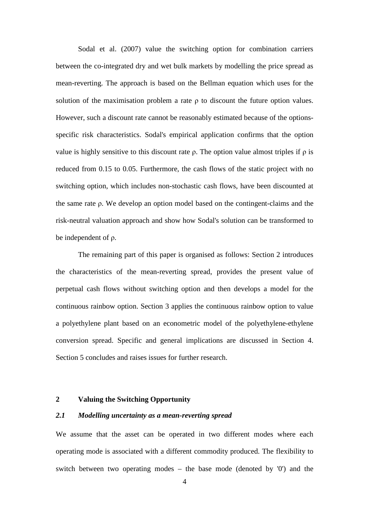Sodal et al. (2007) value the switching option for combination carriers between the co-integrated dry and wet bulk markets by modelling the price spread as mean-reverting. The approach is based on the Bellman equation which uses for the solution of the maximisation problem a rate ρ to discount the future option values. However, such a discount rate cannot be reasonably estimated because of the optionsspecific risk characteristics. Sodal's empirical application confirms that the option value is highly sensitive to this discount rate ρ. The option value almost triples if ρ is reduced from 0.15 to 0.05. Furthermore, the cash flows of the static project with no switching option, which includes non-stochastic cash flows, have been discounted at the same rate ρ. We develop an option model based on the contingent-claims and the risk-neutral valuation approach and show how Sodal's solution can be transformed to be independent of ρ.

The remaining part of this paper is organised as follows: Section 2 introduces the characteristics of the mean-reverting spread, provides the present value of perpetual cash flows without switching option and then develops a model for the continuous rainbow option. Section 3 applies the continuous rainbow option to value a polyethylene plant based on an econometric model of the polyethylene-ethylene conversion spread. Specific and general implications are discussed in Section 4. Section 5 concludes and raises issues for further research.

### **2 Valuing the Switching Opportunity**

## *2.1 Modelling uncertainty as a mean-reverting spread*

We assume that the asset can be operated in two different modes where each operating mode is associated with a different commodity produced. The flexibility to switch between two operating modes – the base mode (denoted by '0') and the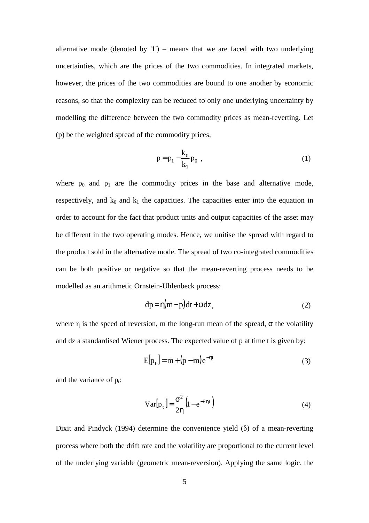alternative mode (denoted by  $1$ ) – means that we are faced with two underlying uncertainties, which are the prices of the two commodities. In integrated markets, however, the prices of the two commodities are bound to one another by economic reasons, so that the complexity can be reduced to only one underlying uncertainty by modelling the difference between the two commodity prices as mean-reverting. Let (p) be the weighted spread of the commodity prices,

$$
p = p_1 - \frac{k_0}{k_1} p_0 , \qquad (1)
$$

where  $p_0$  and  $p_1$  are the commodity prices in the base and alternative mode, respectively, and  $k_0$  and  $k_1$  the capacities. The capacities enter into the equation in order to account for the fact that product units and output capacities of the asset may be different in the two operating modes. Hence, we unitise the spread with regard to the product sold in the alternative mode. The spread of two co-integrated commodities can be both positive or negative so that the mean-reverting process needs to be modelled as an arithmetic Ornstein-Uhlenbeck process:

$$
dp = \eta(m - p)dt + \sigma dz, \qquad (2)
$$

where  $\eta$  is the speed of reversion, m the long-run mean of the spread,  $\sigma$  the volatility and dz a standardised Wiener process. The expected value of p at time t is given by:

$$
E[p_t] = m + (p - m)e^{-\eta t}
$$
\n(3)

and the variance of  $p_t$ :

$$
Var[p_t] = \frac{\sigma^2}{2\eta} \left( 1 - e^{-2\eta t} \right)
$$
 (4)

Dixit and Pindyck (1994) determine the convenience yield  $(\delta)$  of a mean-reverting process where both the drift rate and the volatility are proportional to the current level of the underlying variable (geometric mean-reversion). Applying the same logic, the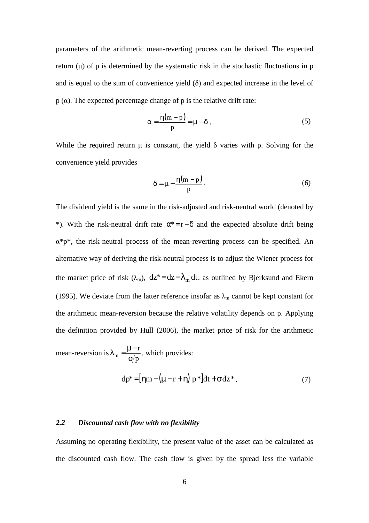parameters of the arithmetic mean-reverting process can be derived. The expected return  $(u)$  of p is determined by the systematic risk in the stochastic fluctuations in p and is equal to the sum of convenience yield  $(\delta)$  and expected increase in the level of  $p(\alpha)$ . The expected percentage change of p is the relative drift rate:

$$
\alpha = \frac{\eta(m-p)}{p} = \mu - \delta \tag{5}
$$

While the required return  $\mu$  is constant, the yield  $\delta$  varies with p. Solving for the convenience yield provides

$$
\delta = \mu - \frac{\eta(m - p)}{p}.
$$
 (6)

The dividend yield is the same in the risk-adjusted and risk-neutral world (denoted by \*). With the risk-neutral drift rate  $\alpha^* = r - \delta$  and the expected absolute drift being α\*p\*, the risk-neutral process of the mean-reverting process can be specified. An alternative way of deriving the risk-neutral process is to adjust the Wiener process for the market price of risk ( $\lambda_m$ ), dz\*= dz− $\lambda_m$  dt, as outlined by Bjerksund and Ekern (1995). We deviate from the latter reference insofar as  $\lambda_{m}$  cannot be kept constant for the arithmetic mean-reversion because the relative volatility depends on p. Applying the definition provided by Hull (2006), the market price of risk for the arithmetic

mean-reversion is p r m  $-\frac{1}{\sigma}$  $\lambda_{\rm m} = \frac{\mu - r}{r}$ , which provides:

$$
dp^* = \left[\eta m - \left(\mu - r + \eta\right)p^*\right]dt + \sigma dz^*.
$$
 (7)

### *2.2 Discounted cash flow with no flexibility*

Assuming no operating flexibility, the present value of the asset can be calculated as the discounted cash flow. The cash flow is given by the spread less the variable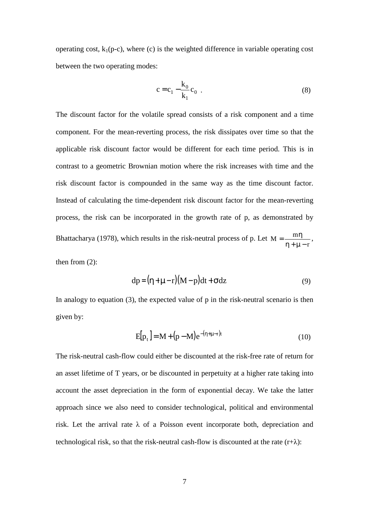operating cost,  $k_1(p-c)$ , where (c) is the weighted difference in variable operating cost between the two operating modes:

$$
c = c_1 - \frac{k_0}{k_1} c_0 . \tag{8}
$$

The discount factor for the volatile spread consists of a risk component and a time component. For the mean-reverting process, the risk dissipates over time so that the applicable risk discount factor would be different for each time period. This is in contrast to a geometric Brownian motion where the risk increases with time and the risk discount factor is compounded in the same way as the time discount factor. Instead of calculating the time-dependent risk discount factor for the mean-reverting process, the risk can be incorporated in the growth rate of p, as demonstrated by Bhattacharya (1978), which results in the risk-neutral process of p. Let r  $M = \frac{m}{m}$ η + µ −  $=\frac{m\eta}{\eta}$ ,

then from (2):

$$
dp = (\eta + \mu - r)(M - p)dt + \sigma dz
$$
\n(9)

In analogy to equation  $(3)$ , the expected value of p in the risk-neutral scenario is then given by:

$$
E[p_t] = M + (p - M)e^{-(\eta + \mu - r)t}
$$
\n(10)

The risk-neutral cash-flow could either be discounted at the risk-free rate of return for an asset lifetime of T years, or be discounted in perpetuity at a higher rate taking into account the asset depreciation in the form of exponential decay. We take the latter approach since we also need to consider technological, political and environmental risk. Let the arrival rate  $\lambda$  of a Poisson event incorporate both, depreciation and technological risk, so that the risk-neutral cash-flow is discounted at the rate  $(r+\lambda)$ :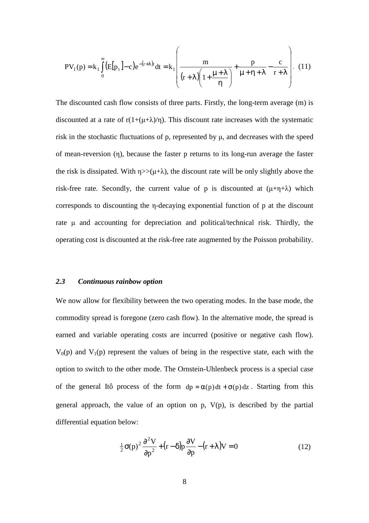$$
PV_{1}(p) = k_{1} \int_{0}^{\infty} (E[p_{t}] - c) e^{-(r+\lambda)t} dt = k_{1} \left( \frac{m}{(r+\lambda)\left(1 + \frac{\mu+\lambda}{\eta}\right)} + \frac{p}{\mu+\eta+\lambda} - \frac{c}{r+\lambda} \right). (11)
$$

The discounted cash flow consists of three parts. Firstly, the long-term average (m) is discounted at a rate of  $r(1+(\mu+\lambda)/\eta)$ . This discount rate increases with the systematic risk in the stochastic fluctuations of p, represented by µ, and decreases with the speed of mean-reversion (η), because the faster p returns to its long-run average the faster the risk is dissipated. With  $\eta$ >>( $\mu$ + $\lambda$ ), the discount rate will be only slightly above the risk-free rate. Secondly, the current value of p is discounted at  $(\mu+\eta+\lambda)$  which corresponds to discounting the η-decaying exponential function of p at the discount rate  $\mu$  and accounting for depreciation and political/technical risk. Thirdly, the operating cost is discounted at the risk-free rate augmented by the Poisson probability.

### *2.3 Continuous rainbow option*

We now allow for flexibility between the two operating modes. In the base mode, the commodity spread is foregone (zero cash flow). In the alternative mode, the spread is earned and variable operating costs are incurred (positive or negative cash flow).  $V_0(p)$  and  $V_1(p)$  represent the values of being in the respective state, each with the option to switch to the other mode. The Ornstein-Uhlenbeck process is a special case of the general Itô process of the form  $dp = \alpha(p)dt + \sigma(p)dz$ . Starting from this general approach, the value of an option on  $p$ ,  $V(p)$ , is described by the partial differential equation below:

$$
\frac{1}{2}\sigma(p)^2\frac{\partial^2 V}{\partial p^2} + (r - \delta)p\frac{\partial V}{\partial p} - (r + \lambda)V = 0
$$
\n(12)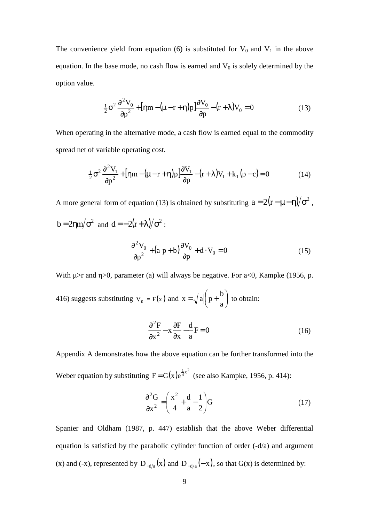The convenience yield from equation (6) is substituted for  $V_0$  and  $V_1$  in the above equation. In the base mode, no cash flow is earned and  $V_0$  is solely determined by the option value.

$$
\frac{1}{2}\sigma^2 \frac{\partial^2 V_0}{\partial p^2} + \left[\eta m - (\mu - r + \eta)p\right] \frac{\partial V_0}{\partial p} - (r + \lambda)V_0 = 0\tag{13}
$$

When operating in the alternative mode, a cash flow is earned equal to the commodity spread net of variable operating cost.

$$
\frac{1}{2}\sigma^2 \frac{\partial^2 V_1}{\partial p^2} + \left[\eta m - (\mu - r + \eta)p\right] \frac{\partial V_1}{\partial p} - (r + \lambda)V_1 + k_1(p - c) = 0 \tag{14}
$$

A more general form of equation (13) is obtained by substituting  $a = 2(r - \mu - \eta)/\sigma^2$ , b = 2ηm/ $\sigma^2$  and d =  $-2(r+\lambda)/\sigma^2$ :

$$
\frac{\partial^2 V_0}{\partial p^2} + (a p + b) \frac{\partial V_0}{\partial p} + d \cdot V_0 = 0
$$
 (15)

With  $\mu$ >r and  $\eta$ >0, parameter (a) will always be negative. For a<0, Kampke (1956, p.

416) suggests substituting  $V_0 = F(x)$  and  $x = \sqrt{|a|} \left( p + \frac{b}{a} \right)$  $\binom{b}{p+1}$ l ſ  $= \sqrt{|a|} p +$ a  $x = \sqrt{|a|} \left( p + \frac{b}{q} \right)$  to obtain:

$$
\frac{\partial^2 F}{\partial x^2} - x \frac{\partial F}{\partial x} - \frac{d}{a} F = 0
$$
 (16)

Appendix A demonstrates how the above equation can be further transformed into the Weber equation by substituting  $F = G(x)e^{\frac{1}{4}x^2}$  (see also Kampke, 1956, p. 414):

$$
\frac{\partial^2 G}{\partial x^2} = \left(\frac{x^2}{4} + \frac{d}{a} - \frac{1}{2}\right)G\tag{17}
$$

Spanier and Oldham (1987, p. 447) establish that the above Weber differential equation is satisfied by the parabolic cylinder function of order (-d/a) and argument (x) and (-x), represented by  $D_{-d/a}(x)$  and  $D_{-d/a}(-x)$ , so that  $G(x)$  is determined by: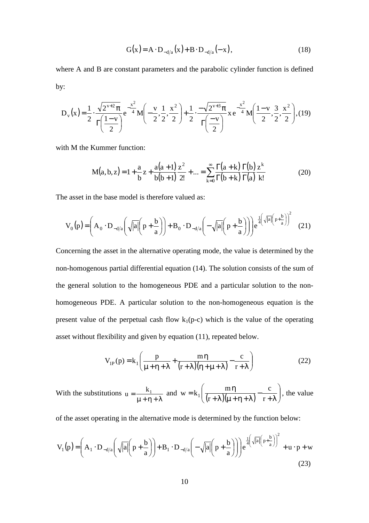$$
G(x) = A \cdot D_{-d/a}(x) + B \cdot D_{-d/a}(-x),
$$
\n(18)

where A and B are constant parameters and the parabolic cylinder function is defined by:

$$
D_{v}(x) = \frac{1}{2} \cdot \frac{\sqrt{2^{v+2} \pi}}{\Gamma(\frac{1-v}{2})} e^{-\frac{x^{2}}{4}} M\left(-\frac{v}{2}, \frac{1}{2}, \frac{x^{2}}{2}\right) + \frac{1}{2} \cdot \frac{-\sqrt{2^{v+3} \pi}}{\Gamma(\frac{-v}{2})} x e^{-\frac{x^{2}}{4}} M\left(\frac{1-v}{2}, \frac{3}{2}, \frac{x^{2}}{2}\right), (19)
$$

with M the Kummer function:

$$
M(a,b,z) = 1 + \frac{a}{b}z + \frac{a(a+1)}{b(b+1)}\frac{z^2}{2!} + \dots = \sum_{k=0}^{\infty} \frac{\Gamma(a+k)}{\Gamma(b+k)} \frac{\Gamma(b)}{\Gamma(a)} \frac{z^k}{k!}
$$
(20)

The asset in the base model is therefore valued as:

$$
V_0(p) = \left(A_0 \cdot D_{-d/a}\left(\sqrt{|a|}\left(p + \frac{b}{a}\right)\right) + B_0 \cdot D_{-d/a}\left(-\sqrt{|a|}\left(p + \frac{b}{a}\right)\right)\right)e^{\frac{1}{4}\left(\sqrt{|a|}\left(p + \frac{b}{a}\right)\right)^2} \tag{21}
$$

Concerning the asset in the alternative operating mode, the value is determined by the non-homogenous partial differential equation (14). The solution consists of the sum of the general solution to the homogeneous PDE and a particular solution to the nonhomogeneous PDE. A particular solution to the non-homogeneous equation is the present value of the perpetual cash flow  $k_1(p-c)$  which is the value of the operating asset without flexibility and given by equation (11), repeated below.

$$
V_{IP}(p) = k_1 \left( \frac{p}{\mu + \eta + \lambda} + \frac{m\eta}{(r + \lambda)(\eta + \mu + \lambda)} - \frac{c}{r + \lambda} \right)
$$
(22)

With the substitutions µ + η + λ  $u = \frac{k_1}{\mu + \eta + \lambda}$  and  $w = k_1 \left( \frac{m\eta}{(r + \lambda)(\mu + \eta + \lambda)} - \frac{c}{r + \lambda} \right)$ J  $\backslash$  $\overline{\phantom{a}}$  $\setminus$ ſ  $+\lambda$ −  $+$   $\lambda$  )( $\mu$  +  $\eta$  +  $\lambda$  $= k_1 \left( \frac{m \eta}{(n+1)!} \right)$ r c r  $w = k_1 \left( \frac{m \eta}{(m+1)(m+n+1)} - \frac{c}{m+1} \right)$ , the value

of the asset operating in the alternative mode is determined by the function below:

$$
V_{1}(p) = \left(A_{1} \cdot D_{-d/a}\left(\sqrt{|a|}\left(p + \frac{b}{a}\right)\right) + B_{1} \cdot D_{-d/a}\left(-\sqrt{|a|}\left(p + \frac{b}{a}\right)\right)\right)e^{\frac{1}{4}\left(\sqrt{|a|}\left(p + \frac{b}{a}\right)\right)^{2}} + u \cdot p + w
$$
\n(23)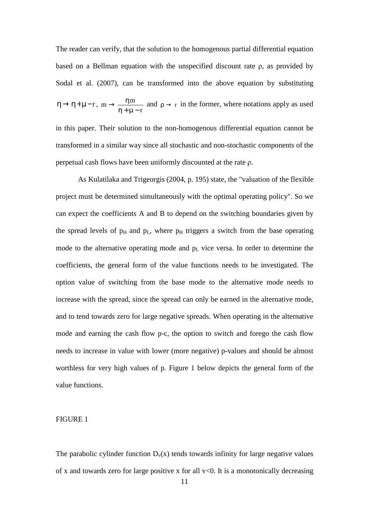The reader can verify, that the solution to the homogenous partial differential equation based on a Bellman equation with the unspecified discount rate ρ, as provided by Sodal et al. (2007), can be transformed into the above equation by substituting  $\eta \rightarrow \eta + \mu - r$ , r  $m \rightarrow \frac{\eta m}{\eta}$ η + µ −  $\rightarrow \frac{\eta m}{\eta}$  and  $\rho \rightarrow r$  in the former, where notations apply as used

in this paper. Their solution to the non-homogenous differential equation cannot be transformed in a similar way since all stochastic and non-stochastic components of the perpetual cash flows have been uniformly discounted at the rate ρ.

As Kulatilaka and Trigeorgis (2004, p. 195) state, the "valuation of the flexible project must be determined simultaneously with the optimal operating policy". So we can expect the coefficients A and B to depend on the switching boundaries given by the spread levels of  $p_H$  and  $p_L$ , where  $p_H$  triggers a switch from the base operating mode to the alternative operating mode and  $p<sub>L</sub>$  vice versa. In order to determine the coefficients, the general form of the value functions needs to be investigated. The option value of switching from the base mode to the alternative mode needs to increase with the spread, since the spread can only be earned in the alternative mode, and to tend towards zero for large negative spreads. When operating in the alternative mode and earning the cash flow p-c, the option to switch and forego the cash flow needs to increase in value with lower (more negative) p-values and should be almost worthless for very high values of p. Figure 1 below depicts the general form of the value functions.

### FIGURE 1

The parabolic cylinder function  $D_v(x)$  tends towards infinity for large negative values of x and towards zero for large positive x for all  $v<0$ . It is a monotonically decreasing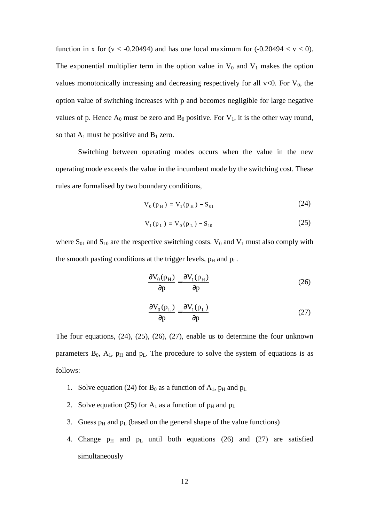function in x for  $(v < -0.20494)$  and has one local maximum for  $(-0.20494 < v < 0)$ . The exponential multiplier term in the option value in  $V_0$  and  $V_1$  makes the option values monotonically increasing and decreasing respectively for all  $v<0$ . For  $V_0$ , the option value of switching increases with p and becomes negligible for large negative values of p. Hence  $A_0$  must be zero and  $B_0$  positive. For  $V_1$ , it is the other way round, so that  $A_1$  must be positive and  $B_1$  zero.

Switching between operating modes occurs when the value in the new operating mode exceeds the value in the incumbent mode by the switching cost. These rules are formalised by two boundary conditions,

$$
V_0(p_H) = V_1(p_H) - S_{01}
$$
 (24)

$$
V_1(p_L) = V_0(p_L) - S_{10}
$$
 (25)

where  $S_{01}$  and  $S_{10}$  are the respective switching costs.  $V_0$  and  $V_1$  must also comply with the smooth pasting conditions at the trigger levels,  $p_H$  and  $p_L$ .

$$
\frac{\partial V_0(p_H)}{\partial p} = \frac{\partial V_1(p_H)}{\partial p}
$$
 (26)

$$
\frac{\partial V_0(p_L)}{\partial p} = \frac{\partial V_1(p_L)}{\partial p}
$$
 (27)

The four equations, (24), (25), (26), (27), enable us to determine the four unknown parameters  $B_0$ ,  $A_1$ ,  $p_H$  and  $p_L$ . The procedure to solve the system of equations is as follows:

- 1. Solve equation (24) for  $B_0$  as a function of  $A_1$ ,  $p_H$  and  $p_L$
- 2. Solve equation (25) for  $A_1$  as a function of  $p_H$  and  $p_L$
- 3. Guess  $p_H$  and  $p_L$  (based on the general shape of the value functions)
- 4. Change  $p_H$  and  $p_L$  until both equations (26) and (27) are satisfied simultaneously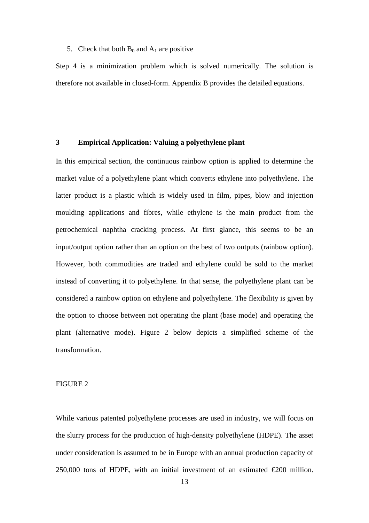### 5. Check that both  $B_0$  and  $A_1$  are positive

Step 4 is a minimization problem which is solved numerically. The solution is therefore not available in closed-form. Appendix B provides the detailed equations.

## **3 Empirical Application: Valuing a polyethylene plant**

In this empirical section, the continuous rainbow option is applied to determine the market value of a polyethylene plant which converts ethylene into polyethylene. The latter product is a plastic which is widely used in film, pipes, blow and injection moulding applications and fibres, while ethylene is the main product from the petrochemical naphtha cracking process. At first glance, this seems to be an input/output option rather than an option on the best of two outputs (rainbow option). However, both commodities are traded and ethylene could be sold to the market instead of converting it to polyethylene. In that sense, the polyethylene plant can be considered a rainbow option on ethylene and polyethylene. The flexibility is given by the option to choose between not operating the plant (base mode) and operating the plant (alternative mode). Figure 2 below depicts a simplified scheme of the transformation.

## FIGURE 2

While various patented polyethylene processes are used in industry, we will focus on the slurry process for the production of high-density polyethylene (HDPE). The asset under consideration is assumed to be in Europe with an annual production capacity of 250,000 tons of HDPE, with an initial investment of an estimated  $\epsilon$ 200 million.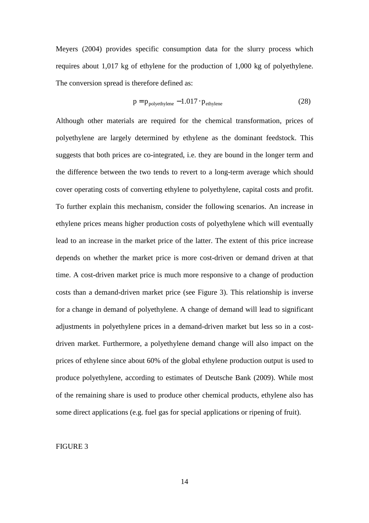Meyers (2004) provides specific consumption data for the slurry process which requires about 1,017 kg of ethylene for the production of 1,000 kg of polyethylene. The conversion spread is therefore defined as:

$$
p = p_{\text{polyethylene}} - 1.017 \cdot p_{\text{ethylene}} \tag{28}
$$

Although other materials are required for the chemical transformation, prices of polyethylene are largely determined by ethylene as the dominant feedstock. This suggests that both prices are co-integrated, i.e. they are bound in the longer term and the difference between the two tends to revert to a long-term average which should cover operating costs of converting ethylene to polyethylene, capital costs and profit. To further explain this mechanism, consider the following scenarios. An increase in ethylene prices means higher production costs of polyethylene which will eventually lead to an increase in the market price of the latter. The extent of this price increase depends on whether the market price is more cost-driven or demand driven at that time. A cost-driven market price is much more responsive to a change of production costs than a demand-driven market price (see Figure 3). This relationship is inverse for a change in demand of polyethylene. A change of demand will lead to significant adjustments in polyethylene prices in a demand-driven market but less so in a costdriven market. Furthermore, a polyethylene demand change will also impact on the prices of ethylene since about 60% of the global ethylene production output is used to produce polyethylene, according to estimates of Deutsche Bank (2009). While most of the remaining share is used to produce other chemical products, ethylene also has some direct applications (e.g. fuel gas for special applications or ripening of fruit).

### FIGURE 3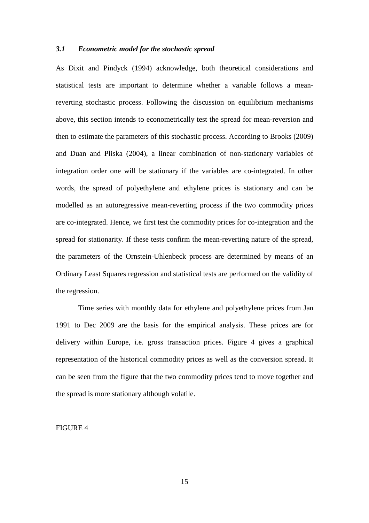### *3.1 Econometric model for the stochastic spread*

As Dixit and Pindyck (1994) acknowledge, both theoretical considerations and statistical tests are important to determine whether a variable follows a meanreverting stochastic process. Following the discussion on equilibrium mechanisms above, this section intends to econometrically test the spread for mean-reversion and then to estimate the parameters of this stochastic process. According to Brooks (2009) and Duan and Pliska (2004), a linear combination of non-stationary variables of integration order one will be stationary if the variables are co-integrated. In other words, the spread of polyethylene and ethylene prices is stationary and can be modelled as an autoregressive mean-reverting process if the two commodity prices are co-integrated. Hence, we first test the commodity prices for co-integration and the spread for stationarity. If these tests confirm the mean-reverting nature of the spread, the parameters of the Ornstein-Uhlenbeck process are determined by means of an Ordinary Least Squares regression and statistical tests are performed on the validity of the regression.

Time series with monthly data for ethylene and polyethylene prices from Jan 1991 to Dec 2009 are the basis for the empirical analysis. These prices are for delivery within Europe, i.e. gross transaction prices. Figure 4 gives a graphical representation of the historical commodity prices as well as the conversion spread. It can be seen from the figure that the two commodity prices tend to move together and the spread is more stationary although volatile.

### FIGURE 4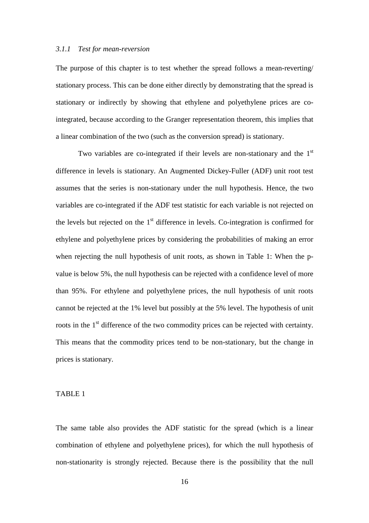#### *3.1.1 Test for mean-reversion*

The purpose of this chapter is to test whether the spread follows a mean-reverting/ stationary process. This can be done either directly by demonstrating that the spread is stationary or indirectly by showing that ethylene and polyethylene prices are cointegrated, because according to the Granger representation theorem, this implies that a linear combination of the two (such as the conversion spread) is stationary.

Two variables are co-integrated if their levels are non-stationary and the  $1<sup>st</sup>$ difference in levels is stationary. An Augmented Dickey-Fuller (ADF) unit root test assumes that the series is non-stationary under the null hypothesis. Hence, the two variables are co-integrated if the ADF test statistic for each variable is not rejected on the levels but rejected on the  $1<sup>st</sup>$  difference in levels. Co-integration is confirmed for ethylene and polyethylene prices by considering the probabilities of making an error when rejecting the null hypothesis of unit roots, as shown in Table 1: When the pvalue is below 5%, the null hypothesis can be rejected with a confidence level of more than 95%. For ethylene and polyethylene prices, the null hypothesis of unit roots cannot be rejected at the 1% level but possibly at the 5% level. The hypothesis of unit roots in the 1<sup>st</sup> difference of the two commodity prices can be rejected with certainty. This means that the commodity prices tend to be non-stationary, but the change in prices is stationary.

### TABLE 1

The same table also provides the ADF statistic for the spread (which is a linear combination of ethylene and polyethylene prices), for which the null hypothesis of non-stationarity is strongly rejected. Because there is the possibility that the null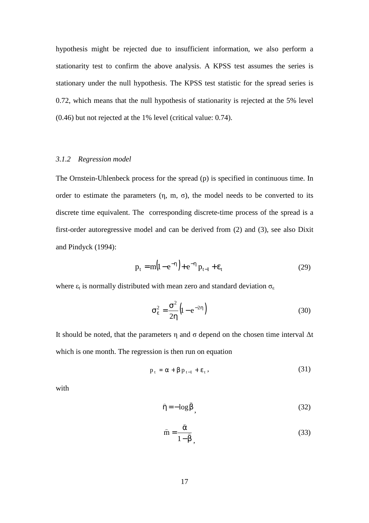hypothesis might be rejected due to insufficient information, we also perform a stationarity test to confirm the above analysis. A KPSS test assumes the series is stationary under the null hypothesis. The KPSS test statistic for the spread series is 0.72, which means that the null hypothesis of stationarity is rejected at the 5% level (0.46) but not rejected at the 1% level (critical value: 0.74).

### *3.1.2 Regression model*

The Ornstein-Uhlenbeck process for the spread (p) is specified in continuous time. In order to estimate the parameters  $(\eta, m, \sigma)$ , the model needs to be converted to its discrete time equivalent. The corresponding discrete-time process of the spread is a first-order autoregressive model and can be derived from (2) and (3), see also Dixit and Pindyck (1994):

$$
p_{t} = m(l - e^{-\eta}) + e^{-\eta} p_{t-1} + \varepsilon_{t}
$$
 (29)

where  $\varepsilon_t$  is normally distributed with mean zero and standard deviation  $\sigma_{\varepsilon}$ 

$$
\sigma_{\varepsilon}^{2} = \frac{\sigma^{2}}{2\eta} \left( 1 - e^{-2\eta} \right)
$$
 (30)

It should be noted, that the parameters η and σ depend on the chosen time interval ∆t which is one month. The regression is then run on equation

$$
p_{t} = \alpha + \beta p_{t-1} + \varepsilon_{t}, \qquad (31)
$$

with

$$
\hat{\eta} = -\log \hat{\beta},\tag{32}
$$

$$
\hat{m} = \frac{\hat{\alpha}}{1 - \hat{\beta}},
$$
\n(33)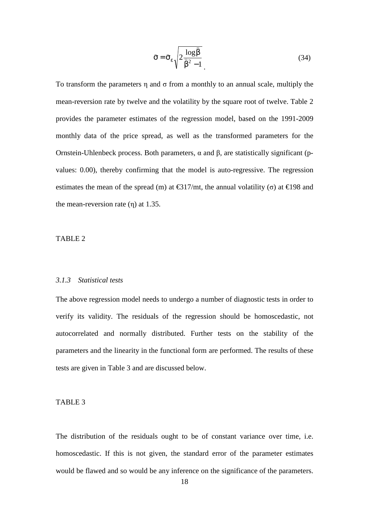$$
\hat{\sigma} = \hat{\sigma}_{\varepsilon} \sqrt{2 \frac{\log \hat{\beta}}{\hat{\beta}^2 - 1}}
$$
 (34)

To transform the parameters  $\eta$  and  $\sigma$  from a monthly to an annual scale, multiply the mean-reversion rate by twelve and the volatility by the square root of twelve. Table 2 provides the parameter estimates of the regression model, based on the 1991-2009 monthly data of the price spread, as well as the transformed parameters for the Ornstein-Uhlenbeck process. Both parameters, α and β, are statistically significant (pvalues: 0.00), thereby confirming that the model is auto-regressive. The regression estimates the mean of the spread (m) at  $\epsilon$ 317/mt, the annual volatility (σ) at  $\epsilon$ 198 and the mean-reversion rate  $(\eta)$  at 1.35.

### TABLE 2

#### *3.1.3 Statistical tests*

The above regression model needs to undergo a number of diagnostic tests in order to verify its validity. The residuals of the regression should be homoscedastic, not autocorrelated and normally distributed. Further tests on the stability of the parameters and the linearity in the functional form are performed. The results of these tests are given in Table 3 and are discussed below.

#### TABLE 3

The distribution of the residuals ought to be of constant variance over time, i.e. homoscedastic. If this is not given, the standard error of the parameter estimates would be flawed and so would be any inference on the significance of the parameters.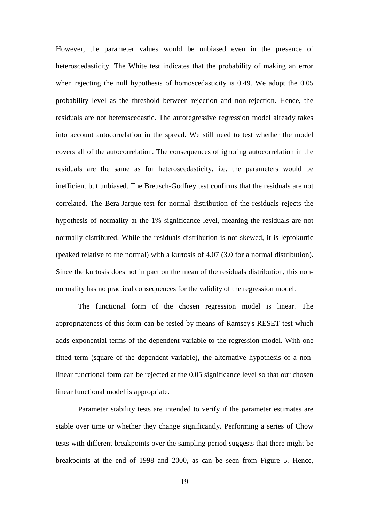However, the parameter values would be unbiased even in the presence of heteroscedasticity. The White test indicates that the probability of making an error when rejecting the null hypothesis of homoscedasticity is 0.49. We adopt the 0.05 probability level as the threshold between rejection and non-rejection. Hence, the residuals are not heteroscedastic. The autoregressive regression model already takes into account autocorrelation in the spread. We still need to test whether the model covers all of the autocorrelation. The consequences of ignoring autocorrelation in the residuals are the same as for heteroscedasticity, i.e. the parameters would be inefficient but unbiased. The Breusch-Godfrey test confirms that the residuals are not correlated. The Bera-Jarque test for normal distribution of the residuals rejects the hypothesis of normality at the 1% significance level, meaning the residuals are not normally distributed. While the residuals distribution is not skewed, it is leptokurtic (peaked relative to the normal) with a kurtosis of 4.07 (3.0 for a normal distribution). Since the kurtosis does not impact on the mean of the residuals distribution, this nonnormality has no practical consequences for the validity of the regression model.

The functional form of the chosen regression model is linear. The appropriateness of this form can be tested by means of Ramsey's RESET test which adds exponential terms of the dependent variable to the regression model. With one fitted term (square of the dependent variable), the alternative hypothesis of a nonlinear functional form can be rejected at the 0.05 significance level so that our chosen linear functional model is appropriate.

Parameter stability tests are intended to verify if the parameter estimates are stable over time or whether they change significantly. Performing a series of Chow tests with different breakpoints over the sampling period suggests that there might be breakpoints at the end of 1998 and 2000, as can be seen from Figure 5. Hence,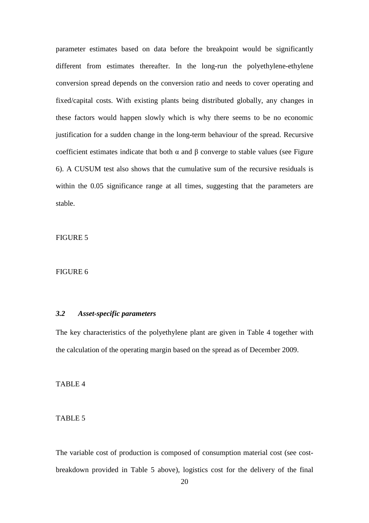parameter estimates based on data before the breakpoint would be significantly different from estimates thereafter. In the long-run the polyethylene-ethylene conversion spread depends on the conversion ratio and needs to cover operating and fixed/capital costs. With existing plants being distributed globally, any changes in these factors would happen slowly which is why there seems to be no economic justification for a sudden change in the long-term behaviour of the spread. Recursive coefficient estimates indicate that both  $\alpha$  and  $\beta$  converge to stable values (see Figure 6). A CUSUM test also shows that the cumulative sum of the recursive residuals is within the 0.05 significance range at all times, suggesting that the parameters are stable.

FIGURE 5

### FIGURE 6

## *3.2 Asset-specific parameters*

The key characteristics of the polyethylene plant are given in Table 4 together with the calculation of the operating margin based on the spread as of December 2009.

TABLE 4

## TABLE 5

The variable cost of production is composed of consumption material cost (see costbreakdown provided in Table 5 above), logistics cost for the delivery of the final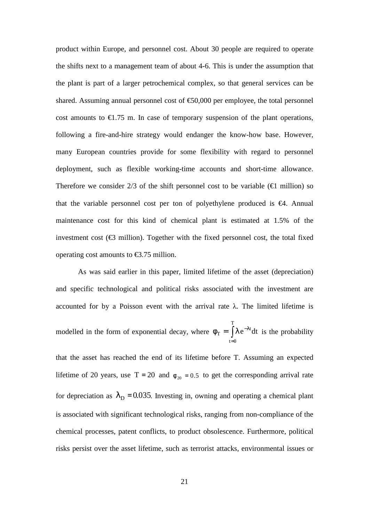product within Europe, and personnel cost. About 30 people are required to operate the shifts next to a management team of about 4-6. This is under the assumption that the plant is part of a larger petrochemical complex, so that general services can be shared. Assuming annual personnel cost of  $\epsilon$ 50,000 per employee, the total personnel cost amounts to  $\epsilon$ 1.75 m. In case of temporary suspension of the plant operations, following a fire-and-hire strategy would endanger the know-how base. However, many European countries provide for some flexibility with regard to personnel deployment, such as flexible working-time accounts and short-time allowance. Therefore we consider 2/3 of the shift personnel cost to be variable ( $\epsilon$ 1 million) so that the variable personnel cost per ton of polyethylene produced is  $\epsilon$ 4. Annual maintenance cost for this kind of chemical plant is estimated at 1.5% of the investment cost  $(\epsilon_3$  million). Together with the fixed personnel cost, the total fixed operating cost amounts to  $\epsilon$ 3.75 million.

As was said earlier in this paper, limited lifetime of the asset (depreciation) and specific technological and political risks associated with the investment are accounted for by a Poisson event with the arrival rate  $\lambda$ . The limited lifetime is modelled in the form of exponential decay, where  $\phi_T = |\lambda e^{-\lambda t} dt$ T  $t = 0$  $_{\rm T} = \int \! \lambda \, {\rm e}^{-\lambda t}$ =  $\phi_{\rm T} = \int \lambda e^{-\lambda t} dt$  is the probability that the asset has reached the end of its lifetime before T. Assuming an expected lifetime of 20 years, use T = 20 and  $\phi_{20} = 0.5$  to get the corresponding arrival rate for depreciation as  $\lambda_D = 0.035$ . Investing in, owning and operating a chemical plant is associated with significant technological risks, ranging from non-compliance of the chemical processes, patent conflicts, to product obsolescence. Furthermore, political risks persist over the asset lifetime, such as terrorist attacks, environmental issues or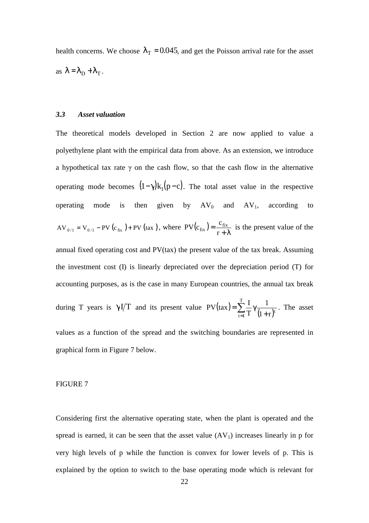health concerns. We choose  $\lambda_T = 0.045$ , and get the Poisson arrival rate for the asset as  $\lambda = \lambda_D + \lambda_T$ .

### *3.3 Asset valuation*

The theoretical models developed in Section 2 are now applied to value a polyethylene plant with the empirical data from above. As an extension, we introduce a hypothetical tax rate  $\gamma$  on the cash flow, so that the cash flow in the alternative operating mode becomes  $(1 - \gamma)k_1(p - c)$ . The total asset value in the respective operating mode is then given by  $AV_0$  and  $AV_1$ , according to  $AV_{0/1} = V_{0/1} - PV (c_{fix}) + PV (tax)$ , where  $PV(c_{fix}) = \frac{c_{fix}}{r + \lambda}$ = r  $PV(c_{fix}) = \frac{c_{fix}}{r}$  is the present value of the annual fixed operating cost and PV(tax) the present value of the tax break. Assuming the investment cost (I) is linearly depreciated over the depreciation period (T) for accounting purposes, as is the case in many European countries, the annual tax break during T years is  $\gamma I/T$  and its present value  $PV(tax) = \sum_{t=1}^{n} \frac{1}{T} \gamma \frac{1}{(1+r)^{t}}$  $=$   $\sum_{i=1}^{1}$ γ T  $\sum_{t=1}^{l} T^{t} (1+r)^{t}$ 1 T  $PV(tax) = \sum_{n=1}^{T} \frac{1}{\gamma} \frac{1}{(1-\gamma)^{n}}$ . The asset values as a function of the spread and the switching boundaries are represented in graphical form in Figure 7 below.

#### FIGURE 7

Considering first the alternative operating state, when the plant is operated and the spread is earned, it can be seen that the asset value  $(AV_1)$  increases linearly in p for very high levels of p while the function is convex for lower levels of p. This is explained by the option to switch to the base operating mode which is relevant for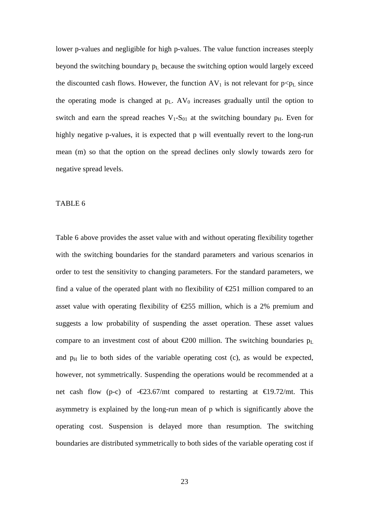lower p-values and negligible for high p-values. The value function increases steeply beyond the switching boundary  $p_L$  because the switching option would largely exceed the discounted cash flows. However, the function  $AV_1$  is not relevant for  $p < p_L$  since the operating mode is changed at  $p_L$ . AV<sub>0</sub> increases gradually until the option to switch and earn the spread reaches  $V_1-S_{01}$  at the switching boundary  $p_H$ . Even for highly negative p-values, it is expected that p will eventually revert to the long-run mean (m) so that the option on the spread declines only slowly towards zero for negative spread levels.

### TABLE 6

Table 6 above provides the asset value with and without operating flexibility together with the switching boundaries for the standard parameters and various scenarios in order to test the sensitivity to changing parameters. For the standard parameters, we find a value of the operated plant with no flexibility of  $\epsilon$ 251 million compared to an asset value with operating flexibility of  $\epsilon$ 255 million, which is a 2% premium and suggests a low probability of suspending the asset operation. These asset values compare to an investment cost of about  $\epsilon$ 200 million. The switching boundaries  $p_L$ and  $p<sub>H</sub>$  lie to both sides of the variable operating cost (c), as would be expected, however, not symmetrically. Suspending the operations would be recommended at a net cash flow (p-c) of -€23.67/mt compared to restarting at  $\epsilon$ 19.72/mt. This asymmetry is explained by the long-run mean of p which is significantly above the operating cost. Suspension is delayed more than resumption. The switching boundaries are distributed symmetrically to both sides of the variable operating cost if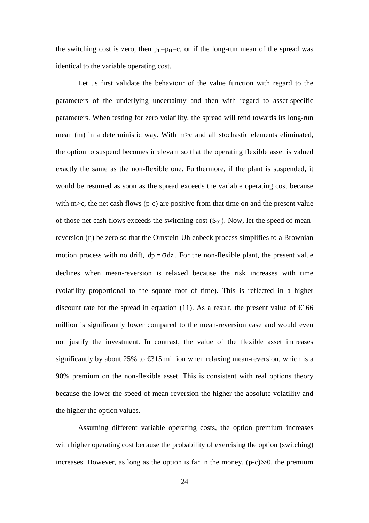the switching cost is zero, then  $p_L=p_H=c$ , or if the long-run mean of the spread was identical to the variable operating cost.

Let us first validate the behaviour of the value function with regard to the parameters of the underlying uncertainty and then with regard to asset-specific parameters. When testing for zero volatility, the spread will tend towards its long-run mean (m) in a deterministic way. With m>c and all stochastic elements eliminated, the option to suspend becomes irrelevant so that the operating flexible asset is valued exactly the same as the non-flexible one. Furthermore, if the plant is suspended, it would be resumed as soon as the spread exceeds the variable operating cost because with m $\geq$ , the net cash flows (p-c) are positive from that time on and the present value of those net cash flows exceeds the switching cost  $(S_{01})$ . Now, let the speed of meanreversion (η) be zero so that the Ornstein-Uhlenbeck process simplifies to a Brownian motion process with no drift,  $dp = \sigma dz$ . For the non-flexible plant, the present value declines when mean-reversion is relaxed because the risk increases with time (volatility proportional to the square root of time). This is reflected in a higher discount rate for the spread in equation (11). As a result, the present value of  $\epsilon 166$ million is significantly lower compared to the mean-reversion case and would even not justify the investment. In contrast, the value of the flexible asset increases significantly by about 25% to  $\epsilon$ 315 million when relaxing mean-reversion, which is a 90% premium on the non-flexible asset. This is consistent with real options theory because the lower the speed of mean-reversion the higher the absolute volatility and the higher the option values.

Assuming different variable operating costs, the option premium increases with higher operating cost because the probability of exercising the option (switching) increases. However, as long as the option is far in the money,  $(p-c) \gg 0$ , the premium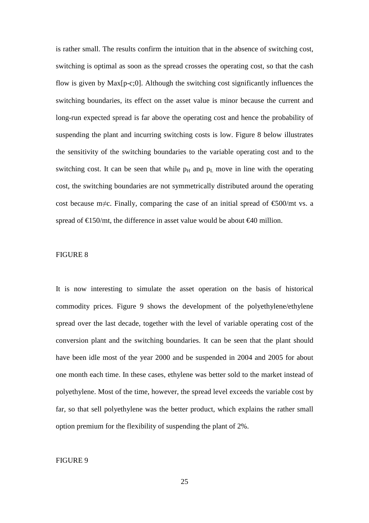is rather small. The results confirm the intuition that in the absence of switching cost, switching is optimal as soon as the spread crosses the operating cost, so that the cash flow is given by Max[p-c;0]. Although the switching cost significantly influences the switching boundaries, its effect on the asset value is minor because the current and long-run expected spread is far above the operating cost and hence the probability of suspending the plant and incurring switching costs is low. Figure 8 below illustrates the sensitivity of the switching boundaries to the variable operating cost and to the switching cost. It can be seen that while  $p_H$  and  $p_L$  move in line with the operating cost, the switching boundaries are not symmetrically distributed around the operating cost because m≠c. Finally, comparing the case of an initial spread of €500/mt vs. a spread of  $\text{\textsterling}150/\text{mt}$ , the difference in asset value would be about  $\text{\textsterling}40$  million.

## FIGURE 8

It is now interesting to simulate the asset operation on the basis of historical commodity prices. Figure 9 shows the development of the polyethylene/ethylene spread over the last decade, together with the level of variable operating cost of the conversion plant and the switching boundaries. It can be seen that the plant should have been idle most of the year 2000 and be suspended in 2004 and 2005 for about one month each time. In these cases, ethylene was better sold to the market instead of polyethylene. Most of the time, however, the spread level exceeds the variable cost by far, so that sell polyethylene was the better product, which explains the rather small option premium for the flexibility of suspending the plant of 2%.

## FIGURE 9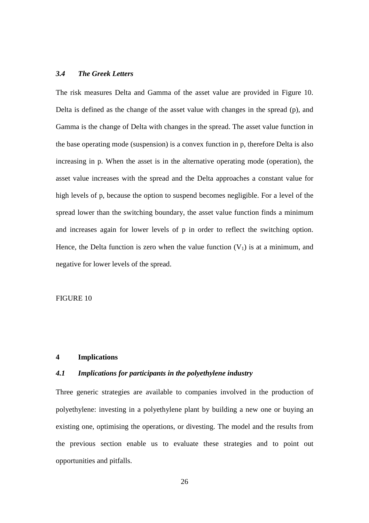## *3.4 The Greek Letters*

The risk measures Delta and Gamma of the asset value are provided in Figure 10. Delta is defined as the change of the asset value with changes in the spread (p), and Gamma is the change of Delta with changes in the spread. The asset value function in the base operating mode (suspension) is a convex function in p, therefore Delta is also increasing in p. When the asset is in the alternative operating mode (operation), the asset value increases with the spread and the Delta approaches a constant value for high levels of p, because the option to suspend becomes negligible. For a level of the spread lower than the switching boundary, the asset value function finds a minimum and increases again for lower levels of p in order to reflect the switching option. Hence, the Delta function is zero when the value function  $(V_1)$  is at a minimum, and negative for lower levels of the spread.

## FIGURE 10

## **4 Implications**

### *4.1 Implications for participants in the polyethylene industry*

Three generic strategies are available to companies involved in the production of polyethylene: investing in a polyethylene plant by building a new one or buying an existing one, optimising the operations, or divesting. The model and the results from the previous section enable us to evaluate these strategies and to point out opportunities and pitfalls.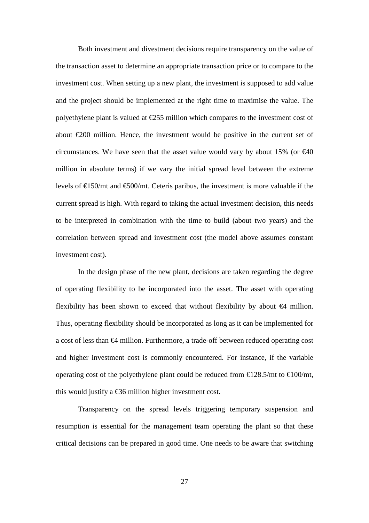Both investment and divestment decisions require transparency on the value of the transaction asset to determine an appropriate transaction price or to compare to the investment cost. When setting up a new plant, the investment is supposed to add value and the project should be implemented at the right time to maximise the value. The polyethylene plant is valued at  $\epsilon$ 255 million which compares to the investment cost of about  $\epsilon$ 200 million. Hence, the investment would be positive in the current set of circumstances. We have seen that the asset value would vary by about 15% (or  $\epsilon$ 40 million in absolute terms) if we vary the initial spread level between the extreme levels of  $\text{\textsterling}150/mt$  and  $\text{\textsterling}500/mt$ . Ceteris paribus, the investment is more valuable if the current spread is high. With regard to taking the actual investment decision, this needs to be interpreted in combination with the time to build (about two years) and the correlation between spread and investment cost (the model above assumes constant investment cost).

In the design phase of the new plant, decisions are taken regarding the degree of operating flexibility to be incorporated into the asset. The asset with operating flexibility has been shown to exceed that without flexibility by about  $\epsilon$ 4 million. Thus, operating flexibility should be incorporated as long as it can be implemented for a cost of less than €4 million. Furthermore, a trade-off between reduced operating cost and higher investment cost is commonly encountered. For instance, if the variable operating cost of the polyethylene plant could be reduced from  $\text{\textsterling}128.5/\text{mt}$  to  $\text{\textsterling}100/\text{mt}$ , this would justify a  $\text{\textsterling}36$  million higher investment cost.

Transparency on the spread levels triggering temporary suspension and resumption is essential for the management team operating the plant so that these critical decisions can be prepared in good time. One needs to be aware that switching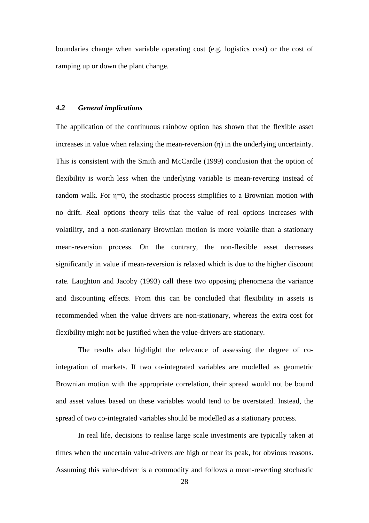boundaries change when variable operating cost (e.g. logistics cost) or the cost of ramping up or down the plant change.

## *4.2 General implications*

The application of the continuous rainbow option has shown that the flexible asset increases in value when relaxing the mean-reversion (η) in the underlying uncertainty. This is consistent with the Smith and McCardle (1999) conclusion that the option of flexibility is worth less when the underlying variable is mean-reverting instead of random walk. For η=0, the stochastic process simplifies to a Brownian motion with no drift. Real options theory tells that the value of real options increases with volatility, and a non-stationary Brownian motion is more volatile than a stationary mean-reversion process. On the contrary, the non-flexible asset decreases significantly in value if mean-reversion is relaxed which is due to the higher discount rate. Laughton and Jacoby (1993) call these two opposing phenomena the variance and discounting effects. From this can be concluded that flexibility in assets is recommended when the value drivers are non-stationary, whereas the extra cost for flexibility might not be justified when the value-drivers are stationary.

The results also highlight the relevance of assessing the degree of cointegration of markets. If two co-integrated variables are modelled as geometric Brownian motion with the appropriate correlation, their spread would not be bound and asset values based on these variables would tend to be overstated. Instead, the spread of two co-integrated variables should be modelled as a stationary process.

In real life, decisions to realise large scale investments are typically taken at times when the uncertain value-drivers are high or near its peak, for obvious reasons. Assuming this value-driver is a commodity and follows a mean-reverting stochastic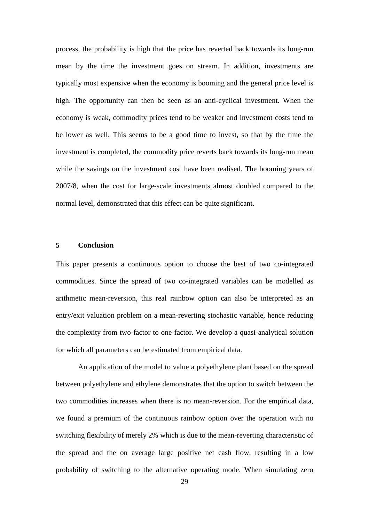process, the probability is high that the price has reverted back towards its long-run mean by the time the investment goes on stream. In addition, investments are typically most expensive when the economy is booming and the general price level is high. The opportunity can then be seen as an anti-cyclical investment. When the economy is weak, commodity prices tend to be weaker and investment costs tend to be lower as well. This seems to be a good time to invest, so that by the time the investment is completed, the commodity price reverts back towards its long-run mean while the savings on the investment cost have been realised. The booming years of 2007/8, when the cost for large-scale investments almost doubled compared to the normal level, demonstrated that this effect can be quite significant.

## **5 Conclusion**

This paper presents a continuous option to choose the best of two co-integrated commodities. Since the spread of two co-integrated variables can be modelled as arithmetic mean-reversion, this real rainbow option can also be interpreted as an entry/exit valuation problem on a mean-reverting stochastic variable, hence reducing the complexity from two-factor to one-factor. We develop a quasi-analytical solution for which all parameters can be estimated from empirical data.

An application of the model to value a polyethylene plant based on the spread between polyethylene and ethylene demonstrates that the option to switch between the two commodities increases when there is no mean-reversion. For the empirical data, we found a premium of the continuous rainbow option over the operation with no switching flexibility of merely 2% which is due to the mean-reverting characteristic of the spread and the on average large positive net cash flow, resulting in a low probability of switching to the alternative operating mode. When simulating zero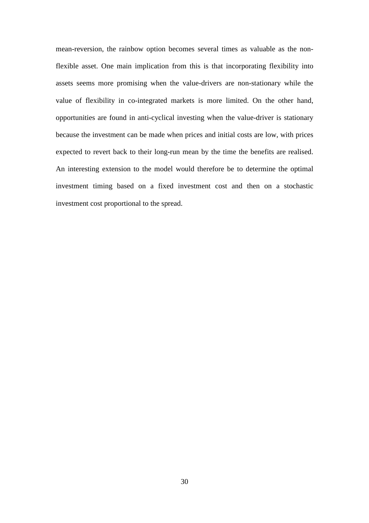mean-reversion, the rainbow option becomes several times as valuable as the nonflexible asset. One main implication from this is that incorporating flexibility into assets seems more promising when the value-drivers are non-stationary while the value of flexibility in co-integrated markets is more limited. On the other hand, opportunities are found in anti-cyclical investing when the value-driver is stationary because the investment can be made when prices and initial costs are low, with prices expected to revert back to their long-run mean by the time the benefits are realised. An interesting extension to the model would therefore be to determine the optimal investment timing based on a fixed investment cost and then on a stochastic investment cost proportional to the spread.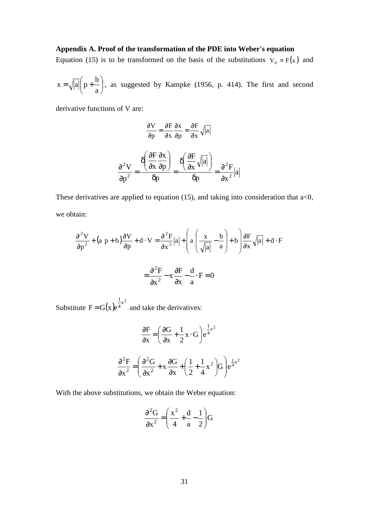# **Appendix A. Proof of the transformation of the PDE into Weber's equation**

Equation (15) is to be transformed on the basis of the substitutions  $V_0 = F(x)$  and

$$
x = \sqrt{|a|} \left( p + \frac{b}{a} \right)
$$
, as suggested by Kampke (1956, p. 414). The first and second

derivative functions of V are:

$$
\frac{\partial V}{\partial p} = \frac{\partial F}{\partial x}\frac{\partial x}{\partial p} = \frac{\partial F}{\partial x}\sqrt{|a|}
$$

$$
\frac{\partial^2 V}{\partial p^2} = \frac{\delta\left(\frac{\partial F}{\partial x}\frac{\partial x}{\partial p}\right)}{\delta p} = \frac{\delta\left(\frac{\partial F}{\partial x}\sqrt{|a|}\right)}{\delta p} = \frac{\partial^2 F}{\partial x^2}|a|
$$

These derivatives are applied to equation (15), and taking into consideration that  $a<0$ , we obtain:

$$
\frac{\partial^2 V}{\partial p^2} + (a p + b) \frac{\partial V}{\partial p} + d \cdot V = \frac{\partial^2 F}{\partial x^2} |a| + \left( a \left( \frac{x}{\sqrt{|a|}} - \frac{b}{a} \right) + b \right) \frac{\partial F}{\partial x} \sqrt{|a|} + d \cdot F
$$

$$
= \frac{\partial^2 F}{\partial x^2} - x \frac{\partial F}{\partial x} - \frac{d}{a} \cdot F = 0
$$

Substitute  $F = G(x)e^{\frac{1}{4}x^2}$ 1  $F = G(x)e<sup>4</sup>$  and take the derivatives:

$$
\frac{\partial F}{\partial x} = \left(\frac{\partial G}{\partial x} + \frac{1}{2}x \cdot G\right) e^{\frac{1}{4}x^2}
$$

$$
\frac{\partial^2 F}{\partial x^2} = \left(\frac{\partial^2 G}{\partial x^2} + x \frac{\partial G}{\partial x} + \left(\frac{1}{2} + \frac{1}{4}x^2\right)G\right) e^{\frac{1}{4}x^2}
$$

With the above substitutions, we obtain the Weber equation:

$$
\frac{\partial^2 G}{\partial x^2} = \left(\frac{x^2}{4} + \frac{d}{a} - \frac{1}{2}\right)G
$$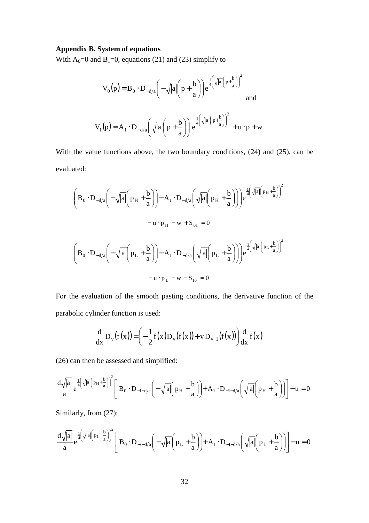## **Appendix B. System of equations**

With  $A_0=0$  and  $B_1=0$ , equations (21) and (23) simplify to

$$
V_0(p) = B_0 \cdot D_{-d/a} \left( -\sqrt{|a|} \left( p + \frac{b}{a} \right) \right) e^{\frac{1}{4} \left( \sqrt{|a|} \left( p + \frac{b}{a} \right) \right)^2}
$$
 and  

$$
V_1(p) = A_1 \cdot D_{-d/a} \left( \sqrt{|a|} \left( p + \frac{b}{a} \right) \right) e^{\frac{1}{4} \left( \sqrt{|a|} \left( p + \frac{b}{a} \right) \right)^2} + u \cdot p + w
$$

With the value functions above, the two boundary conditions, (24) and (25), can be evaluated:

$$
\begin{aligned}\n\left(B_0 \cdot D_{-d/a} \left(-\sqrt{|a|} \left(p_H + \frac{b}{a}\right)\right) - A_1 \cdot D_{-d/a} \left(\sqrt{|a|} \left(p_H + \frac{b}{a}\right)\right)\right) e^{\frac{1}{4}\left(\sqrt{|a|} \left(p_H + \frac{b}{a}\right)\right)^2} \\
&\quad - u \cdot p_H - w + S_{01} = 0 \\
\left(B_0 \cdot D_{-d/a} \left(-\sqrt{|a|} \left(p_L + \frac{b}{a}\right)\right) - A_1 \cdot D_{-d/a} \left(\sqrt{|a|} \left(p_L + \frac{b}{a}\right)\right)\right) e^{\frac{1}{4}\left(\sqrt{|a|} \left(p_L + \frac{b}{a}\right)\right)^2}\right. \\
&\quad &\quad - u \cdot p_L - w - S_{10} = 0\n\end{aligned}
$$

For the evaluation of the smooth pasting conditions, the derivative function of the parabolic cylinder function is used:

$$
\frac{d}{dx}D_{v}(f(x)) = \left(-\frac{1}{2}f(x)D_{v}(f(x)) + vD_{v-1}(f(x))\right)\frac{d}{dx}f(x)
$$

(26) can then be assessed and simplified:

$$
\frac{d\sqrt{|a|}}{a}e^{\frac{1}{4}\left(\sqrt{|a|}\left(p_H+\frac{b}{a}\right)\right)^2}\left[B_0\cdot D_{-1-d/a}\left(-\sqrt{|a|}\left(p_H+\frac{b}{a}\right)\right)+A_1\cdot D_{-1-d/a}\left(\sqrt{|a|}\left(p_H+\frac{b}{a}\right)\right)\right]-u=0
$$

Similarly, from (27):

$$
\frac{d\sqrt{|a|}}{a}e^{\frac{1}{4}\left(\sqrt{|a|}\left(p_L+\frac{b}{a}\right)\right)^2}\left[B_0\cdot D_{-1-d/a}\left(-\sqrt{|a|}\left(p_L+\frac{b}{a}\right)\right)+A_1\cdot D_{-1-d/a}\left(\sqrt{|a|}\left(p_L+\frac{b}{a}\right)\right)\right]-u=0
$$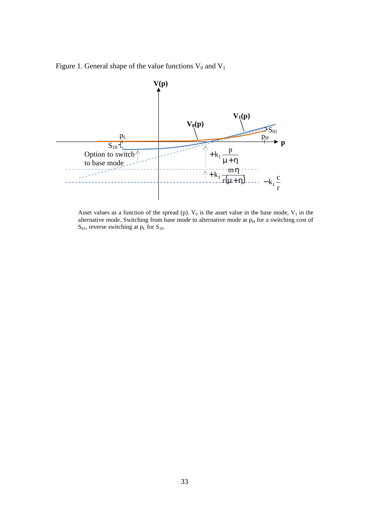Figure 1. General shape of the value functions  $V_0$  and  $V_1$ 



Asset values as a function of the spread (p).  $V_0$  is the asset value in the base mode,  $V_1$  in the alternative mode. Switching from base mode to alternative mode at  $p<sub>H</sub>$  for a switching cost of  $S_{01}$ , reverse switching at  $p<sub>L</sub>$  for  $S_{10}$ .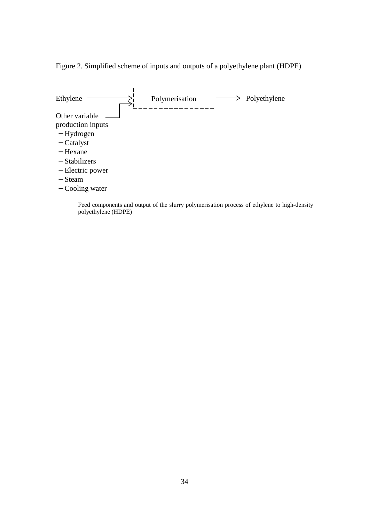Figure 2. Simplified scheme of inputs and outputs of a polyethylene plant (HDPE)



Feed components and output of the slurry polymerisation process of ethylene to high-density polyethylene (HDPE)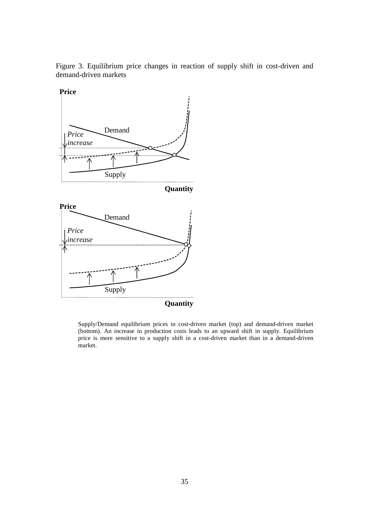Figure 3. Equilibrium price changes in reaction of supply shift in cost-driven and demand-driven markets



Supply/Demand equilibrium prices in cost-driven market (top) and demand-driven market (bottom). An increase in production costs leads to an upward shift in supply. Equilibrium price is more sensitive to a supply shift in a cost-driven market than in a demand-driven market.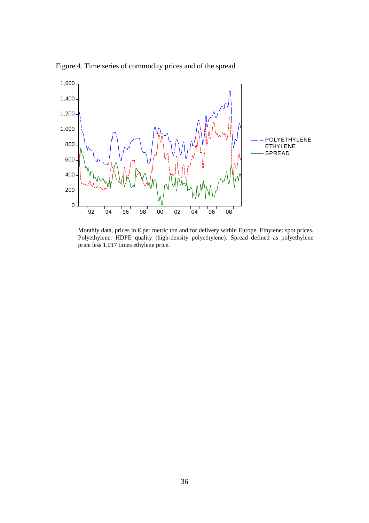

Figure 4. Time series of commodity prices and of the spread

Monthly data, prices in  $\epsilon$  per metric ton and for ddivery within Europe. Ethylene: spot prices. Polyethylene: HDPE quality (high-density polyethylene). Spread defined as polyethylene price less 1.017 times ethylene price.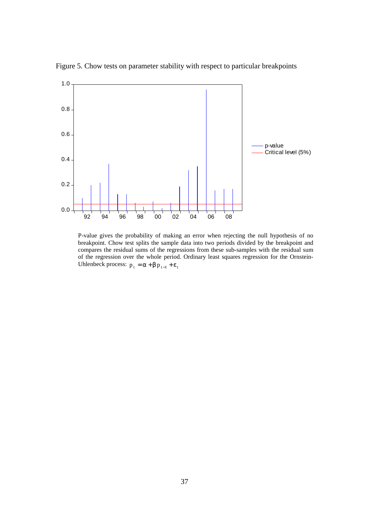

Figure 5. Chow tests on parameter stability with respect to particular breakpoints

P-value gives the probability of making an error when rejecting the null hypothesis of no breakpoint. Chow test splits the sample data into two periods divided by the breakpoint and compares the residual sums of the regressions from these sub-samples with the residual sum of the regression over the whole period. Ordinary least squares regression for the Ornstein-Uhlenbeck process:  $p_t = \alpha + \beta p_{t-1} + \varepsilon_t$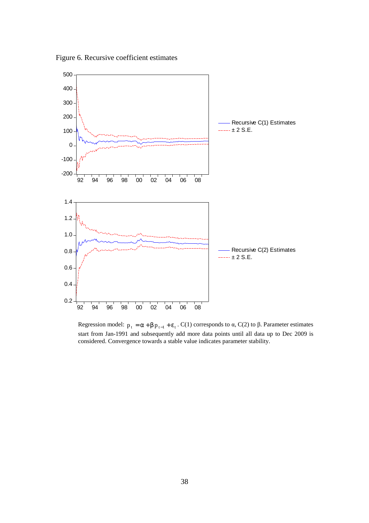Figure 6. Recursive coefficient estimates



Regression model:  $p_t = \alpha + \beta p_{t-1} + \varepsilon_t$ . C(1) corresponds to  $\alpha$ , C(2) to  $\beta$ . Parameter estimates start from Jan-1991 and subsequently add more data points until all data up to Dec 2009 is considered. Convergence towards a stable value indicates parameter stability.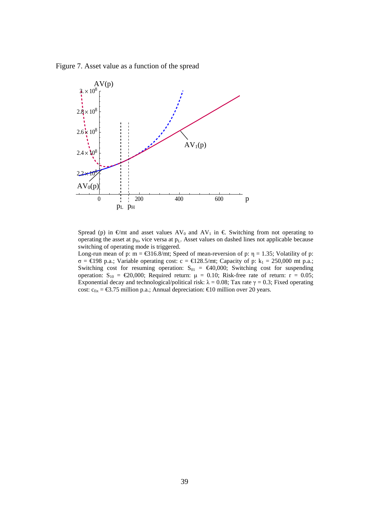Figure 7. Asset value as a function of the spread



Spread (p) in  $\epsilon$ /mt and asset values AV<sub>0</sub> and AV<sub>1</sub> in  $\epsilon$ . Switching from not operating to operating the asset at  $p_H$ , vice versa at  $p_L$ . Asset values on dashed lines not applicable because switching of operating mode is triggered.

Long-run mean of p: m =  $\text{\textsterling}316.8/\text{mt}$ ; Speed of mean-reversion of p:  $\eta = 1.35$ ; Volatility of p:  $σ = €198 p.a.; Variable operating cost: c = €128.5/π, Capacity of p: k<sub>1</sub> = 250,000 mt p.a.;$ Switching cost for resuming operation:  $S_{01} = \epsilon 40,000$ ; Switching cost for suspending operation:  $S_{10} = \text{\textsterling}20,000$ ; Required return:  $\mu = 0.10$ ; Risk-free rate of return:  $r = 0.05$ ; Exponential decay and technological/political risk:  $\lambda = 0.08$ ; Tax rate  $\gamma = 0.3$ ; Fixed operating cost:  $c_{fix} = \text{\textsterling}3.75$  million p.a.; Annual depreciation:  $\text{\textsterling}10$  million over 20 years.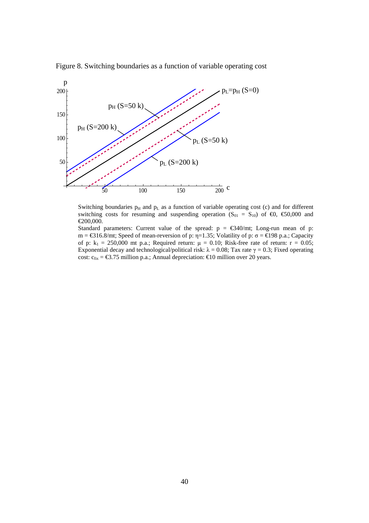



Switching boundaries  $p_H$  and  $p_L$  as a function of variable operating cost (c) and for different switching costs for resuming and suspending operation  $(S_{01} = S_{10})$  of  $\epsilon 0$ ,  $\epsilon 50,000$  and €200,000.

Standard parameters: Current value of the spread:  $p = \text{\textsterling}340/\text{mt}$ ; Long-run mean of p:  $m = \text{€316.8/mt}$ ; Speed of mean-reversion of p:η=1.35; Volatility of p: σ = €198 p.a.; Capacity of p:  $k_1 = 250,000$  mt p.a.; Required return:  $\mu = 0.10$ ; Risk-free rate of return:  $r = 0.05$ ; Exponential decay and technological/political risk:  $\lambda = 0.08$ ; Tax rate  $\gamma = 0.3$ ; Fixed operating cost:  $c_{fix} = \text{\textsterling}3.75$  million p.a.; Annual depreciation:  $\text{\textsterling}10$  million over 20 years.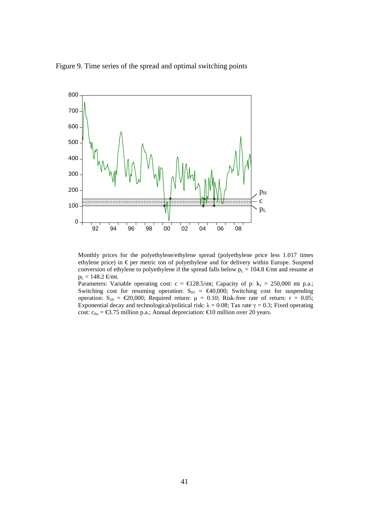Figure 9. Time series of the spread and optimal switching points



Monthly prices for the polyethylene/ethylene spread (polyethylene price less 1.017 times ethylene price) in  $\epsilon$  per metric ton of polyethylene and for delivery within Europe. Suspend conversion of ethylene to polyethylene if the spread falls below  $p_L = 104.8 \text{ } \infty$ /mt and resume at  $p_L = 148.2 \text{ } \in \text{/mt.}$ 

Parameters: Variable operating cost:  $c = \text{\textsterling}128.5/\text{mt}$ ; Capacity of p:  $k_1 = 250,000$  mt p.a.; Switching cost for resuming operation:  $S_{01} = \epsilon 40,000$ ; Switching cost for suspending operation:  $S_{10} = \epsilon 20,000$ ; Required return:  $\mu = 0.10$ ; Risk-free rate of return:  $r = 0.05$ ; Exponential decay and technological/political risk:  $\lambda = 0.08$ ; Tax rate  $\gamma = 0.3$ ; Fixed operating cost:  $c_{fix} = \text{\textsterling}3.75$  million p.a.; Annual depreciation:  $\text{\textsterling}10$  million over 20 years.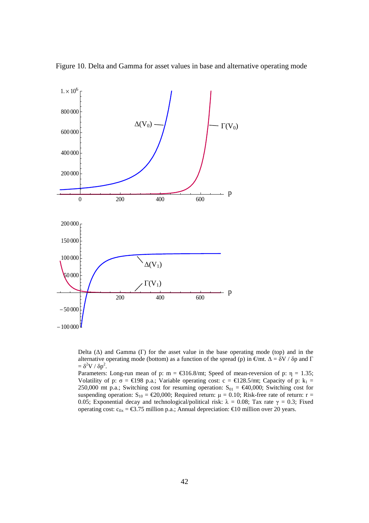

Figure 10. Delta and Gamma for asset values in base and alternative operating mode

Delta  $(\Delta)$  and Gamma (Γ) for the asset value in the base operating mode (top) and in the alternative operating mode (bottom) as a function of the spread (p) in  $\epsilon/mt$ .  $\Delta = \delta V / \delta p$  and  $\Gamma$  $= \delta^2 V / \delta p^2$ .

Parameters: Long-run mean of p: m =  $\text{\textsterling}316.8/\text{mt}$ ; Speed of mean-reversion of p:  $\eta = 1.35$ ; Volatility of p:  $\sigma = \epsilon$ 198 p.a.; Variable operating cost:  $c = \epsilon$ 128.5/n; Capacity of p:  $k_1 =$ 250,000 mt p.a.; Switching cost for resuming operation:  $S_{01} = \text{\textsterling}40,000$ ; Switching cost for suspending operation:  $S_{10} = \text{\textsterling}20,000$ ; Required return:  $\mu = 0.10$ ; Risk-free rate of return: r = 0.05; Exponential decay and technological/political risk:  $\lambda = 0.08$ ; Tax rate  $\gamma = 0.3$ ; Fixed operating cost:  $c_{fix} = \text{\textsterling}3.75$  million p.a.; Annual depreciation:  $\text{\textsterling}10$  million over 20 years.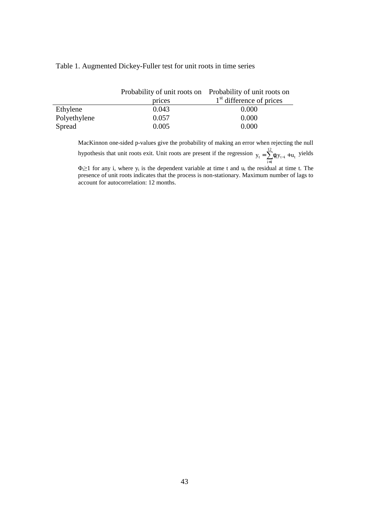## Table 1. Augmented Dickey-Fuller test for unit roots in time series

|              | Probability of unit roots on Probability of unit roots on |                            |  |  |
|--------------|-----------------------------------------------------------|----------------------------|--|--|
|              | prices                                                    | $1st$ difference of prices |  |  |
| Ethylene     | 0.043                                                     | 0.000                      |  |  |
| Polyethylene | 0.057                                                     | 0.000                      |  |  |
| Spread       | 0.005                                                     | 0.000                      |  |  |

MacKinnon one-sided p-values give the probability of making an error when rejecting the null hypothesis that unit roots exit. Unit roots are present if the regression  $y_t = \sum_{i=1}^{12} \phi_i y_{t-i} +$  $y_t = \sum_{i=1}^{t} \phi_i y_{t-i} + u_t$  yields  $\Phi_i \geq 1$  for any i, where  $y_t$  is the dependent variable at time t and  $u_t$  the residual at time t. The

presence of unit roots indicates that the process is non-stationary. Maximum number of lags to account for autocorrelation: 12 months.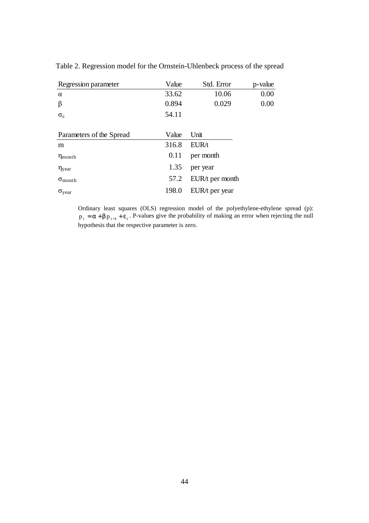| Regression parameter      | Value | Std. Error      | p-value |
|---------------------------|-------|-----------------|---------|
| $\alpha$                  | 33.62 | 10.06           | 0.00    |
| β                         | 0.894 | 0.029           | 0.00    |
| $\sigma_{\rm g}$          | 54.11 |                 |         |
|                           |       |                 |         |
| Parameters of the Spread  | Value | Unit            |         |
| m                         | 316.8 | EUR/t           |         |
| $\eta_{\text{month}}$     | 0.11  | per month       |         |
| $\eta_{\text{year}}$      | 1.35  | per year        |         |
| $\sigma$ <sub>month</sub> | 57.2  | EUR/t per month |         |
| $\sigma_{\text{year}}$    | 198.0 | EUR/t per year  |         |

Table 2. Regression model for the Ornstein-Uhlenbeck process of the spread

Ordinary least squares (OLS) regression model of the polyethylene-ethylene spread (p):  $p_t = \alpha + \beta p_{t-1} + \varepsilon_t$ . P-values give the probability of making an error when rejecting the null hypothesis that the respective parameter is zero.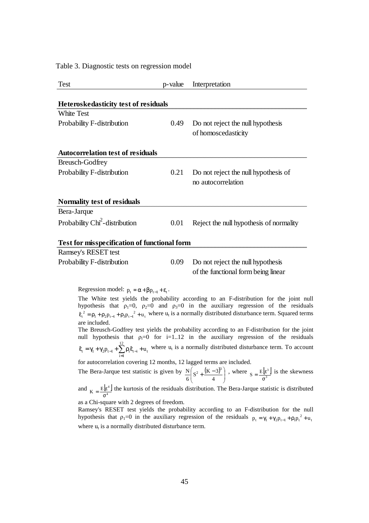Table 3. Diagnostic tests on regression model

| Test                                                                  | p-value | Interpretation                                                                                                                                                                                                                                                                                                                                                                                                                                                |
|-----------------------------------------------------------------------|---------|---------------------------------------------------------------------------------------------------------------------------------------------------------------------------------------------------------------------------------------------------------------------------------------------------------------------------------------------------------------------------------------------------------------------------------------------------------------|
| Heteroskedasticity test of residuals                                  |         |                                                                                                                                                                                                                                                                                                                                                                                                                                                               |
| <b>White Test</b>                                                     |         |                                                                                                                                                                                                                                                                                                                                                                                                                                                               |
| Probability F-distribution                                            | 0.49    | Do not reject the null hypothesis<br>of homoscedasticity                                                                                                                                                                                                                                                                                                                                                                                                      |
| <b>Autocorrelation test of residuals</b>                              |         |                                                                                                                                                                                                                                                                                                                                                                                                                                                               |
| <b>Breusch-Godfrey</b>                                                |         |                                                                                                                                                                                                                                                                                                                                                                                                                                                               |
| Probability F-distribution                                            | 0.21    | Do not reject the null hypothesis of<br>no autocorrelation                                                                                                                                                                                                                                                                                                                                                                                                    |
| Normality test of residuals                                           |         |                                                                                                                                                                                                                                                                                                                                                                                                                                                               |
| Bera-Jarque                                                           |         |                                                                                                                                                                                                                                                                                                                                                                                                                                                               |
| Probability Chi <sup>2</sup> -distribution                            | 0.01    | Reject the null hypothesis of normality                                                                                                                                                                                                                                                                                                                                                                                                                       |
| Test for misspecification of functional form                          |         |                                                                                                                                                                                                                                                                                                                                                                                                                                                               |
| Ramsey's RESET test                                                   |         |                                                                                                                                                                                                                                                                                                                                                                                                                                                               |
| Probability F-distribution                                            | 0.09    | Do not reject the null hypothesis                                                                                                                                                                                                                                                                                                                                                                                                                             |
|                                                                       |         | of the functional form being linear                                                                                                                                                                                                                                                                                                                                                                                                                           |
| Regression model: $p_t = \alpha + \beta p_{t-1} + \varepsilon_t$ .    |         |                                                                                                                                                                                                                                                                                                                                                                                                                                                               |
| are included.                                                         |         | The White test yields the probability according to an F-distribution for the joint null<br>hypothesis that $\rho_1=0$ , $\rho_2=0$ and $\rho_3=0$ in the auxiliary regression of the residuals<br>$\hat{\epsilon}_{t}^{2} = \rho_{1} + \rho_{2}p_{t-1} + \rho_{3}p_{t-1}^{2} + u_{t}$ where $u_{t}$ is a normally distributed disturbance term. Squared terms<br>The Breusch-Godfrey test yields the probability according to an F-distribution for the joint |
|                                                                       |         | null hypothesis that $\rho_i=0$ for i=112 in the auxiliary regression of the residuals                                                                                                                                                                                                                                                                                                                                                                        |
|                                                                       |         | $\hat{\epsilon}_t = \gamma_1 + \gamma_2 p_{t-1} + \sum_{i=1}^{L} \rho_i \hat{\epsilon}_{t-i} + u_t$ where $u_t$ is a normally distributed disturbance term. To account                                                                                                                                                                                                                                                                                        |
| for autocorrelation covering 12 months, 12 lagged terms are included. |         |                                                                                                                                                                                                                                                                                                                                                                                                                                                               |
|                                                                       |         | The Bera-Jarque test statistic is given by $\frac{N}{6}\left(S^2 + \frac{(K-3)^3}{4}\right)$ , where $S = \frac{E[\varepsilon^3]}{\sigma^3}$ is the skewness                                                                                                                                                                                                                                                                                                  |
|                                                                       |         | and $K = \frac{E[e^4]}{e^4}$ the kurtosis of the residuals distribution. The Bera-Jarque statistic is distributed                                                                                                                                                                                                                                                                                                                                             |
| as a Chi-square with 2 degrees of freedom.                            |         | Ramsey's RESET test yields the probability according to an F-distribution for the null<br>hypothesis that $\rho_1=0$ in the auxiliary regression of the residuals $p_t = \gamma_1 + \gamma_2 p_{t-1} + \rho_1 p_t^2 + u_t$                                                                                                                                                                                                                                    |
| where $u_t$ is a normally distributed disturbance term.               |         |                                                                                                                                                                                                                                                                                                                                                                                                                                                               |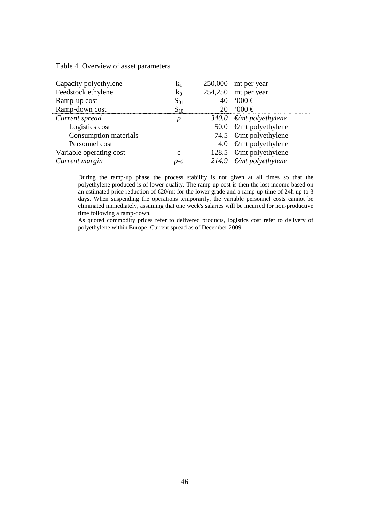| $k_1$       | 250,000 | mt per year                       |
|-------------|---------|-----------------------------------|
| $k_0$       | 254,250 | mt per year                       |
| $S_{01}$    |         | $000 \in$                         |
| $S_{10}$    |         | $000 \in$                         |
| р           |         | 340.0 $\epsilon$ /mt polyethylene |
|             | 50.0    | $\epsilon$ /mt polyethylene       |
|             |         | 74.5 $\epsilon$ /mt polyethylene  |
|             | 4.0     | $\epsilon$ /mt polyethylene       |
| $\mathbf c$ |         | 128.5 $\epsilon$ /mt polyethylene |
| $p-c$       | 214.9   | $\epsilon$ /mt polyethylene       |
|             |         |                                   |

Table 4. Overview of asset parameters

During the ramp-up phase the process stability is not given at all times so that the polyethylene produced is of lower quality. The ramp-up cost is then the lost income based on an estimated price reduction of  $\epsilon$ 20/mt for the lower grade and a ramp-up time of 24h up to 3 days. When suspending the operations temporarily, the variable personnel costs cannot be eliminated immediately, assuming that one week's salaries will be incurred for non-productive time following a ramp-down.

As quoted commodity prices refer to delivered products, logistics cost refer to delivery of polyethylene within Europe. Current spread as of December 2009.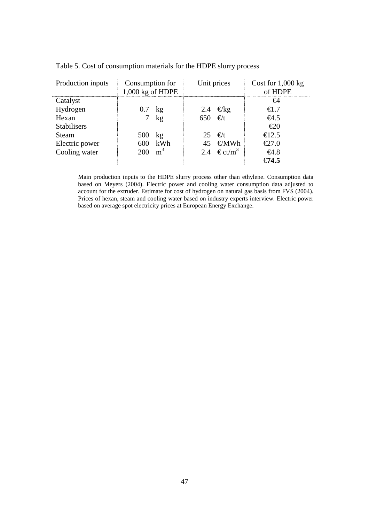| Production inputs  | Consumption for   |     | Unit prices |                             | Cost for $1,000$ kg              |
|--------------------|-------------------|-----|-------------|-----------------------------|----------------------------------|
|                    | 1,000 kg of HDPE  |     |             |                             | of HDPE                          |
| Catalyst           |                   |     |             |                             | €4                               |
| Hydrogen           | $0.7$ kg          |     |             | 2.4 $\epsilon$ /kg          | €1.7                             |
| Hexan              |                   | kg  | 650         | $\epsilon/t$                | $\epsilon$ 4.5                   |
| <b>Stabilisers</b> |                   |     |             |                             | $\epsilon$ 20                    |
| <b>Steam</b>       | 500               | kg  |             | 25 $\epsilon/t$             | €12.5                            |
| Electric power     | 600               | kWh | 45          | €/MWh                       | $\textcolor{blue}{\epsilon}27.0$ |
| Cooling water      | $200 \text{ m}^3$ |     |             | 2.4 $\in$ ct/m <sup>3</sup> | €4.8                             |
|                    |                   |     |             |                             | $\epsilon$ 74.5                  |

|  |  |  |  |  |  |  |  | Table 5. Cost of consumption materials for the HDPE slurry process |
|--|--|--|--|--|--|--|--|--------------------------------------------------------------------|
|--|--|--|--|--|--|--|--|--------------------------------------------------------------------|

Main production inputs to the HDPE slurry process other than ethylene. Consumption data based on Meyers (2004). Electric power and cooling water consumption data adjusted to account for the extruder. Estimate for cost of hydrogen on natural gas basis from FVS (2004). Prices of hexan, steam and cooling water based on industry experts interview. Electric power based on average spot electricity prices at European Energy Exchange.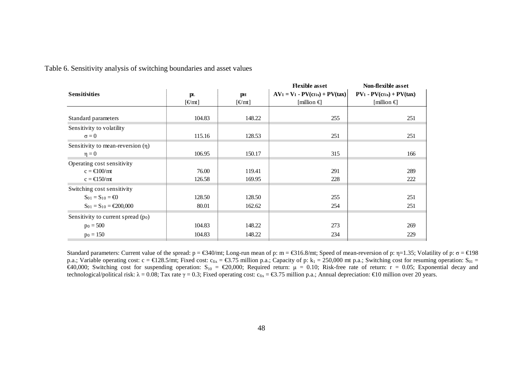Table 6. Sensitivity analysis of switching boundaries and asset values

|                                                 |                            |                                      | <b>Flexible</b> asset             | Non-flexible asset         |
|-------------------------------------------------|----------------------------|--------------------------------------|-----------------------------------|----------------------------|
| <b>Sensitivities</b>                            | pн<br>p <sub>L</sub>       |                                      | $AV_1 = V_1 - PV(cfix) + PV(tax)$ | $PV1 - PV(cfix) + PV(tax)$ |
|                                                 | $\left[\frac{f}{f}\right]$ | $[\text{\textsterling} / \text{mt}]$ | [million $\epsilon$ ]             | [million $\epsilon$ ]      |
|                                                 |                            |                                      |                                   |                            |
| Standard parameters                             | 104.83                     | 148.22                               | 255                               | 251                        |
| Sensitivity to volatility                       |                            |                                      |                                   |                            |
| $\sigma = 0$                                    | 115.16                     | 128.53                               | 251                               | 251                        |
| Sensitivity to mean-reversion $(\eta)$          |                            |                                      |                                   |                            |
| $\eta = 0$                                      | 106.95                     | 150.17                               | 315                               | 166                        |
| Operating cost sensitivity                      |                            |                                      |                                   |                            |
| $c = \text{\textsterling}100/\text{mt}$         | 76.00                      | 119.41                               | 291                               | 289                        |
| $c = \text{\textsterling}150/mt$                | 126.58                     | 169.95                               | 228                               | 222                        |
| Switching cost sensitivity                      |                            |                                      |                                   |                            |
| $S_{01} = S_{10} = \text{\textsterling}0$       | 128.50                     | 128.50                               | 255                               | 251                        |
| $S_{01} = S_{10} = \text{\textsterling}200,000$ | 80.01                      | 162.62                               | 254                               | 251                        |
| Sensitivity to current spread (po)              |                            |                                      |                                   |                            |
| $p_0 = 500$                                     | 104.83                     | 148.22                               | 273                               | 269                        |
| $p_0 = 150$                                     | 104.83                     | 148.22                               | 234                               | 229                        |
|                                                 |                            |                                      |                                   |                            |

Standard parameters: Current value of the spread:  $p = \text{\textsterling}340/\text{mt}$ ; Long-run mean of p: m =  $\text{\textsterling}316.8/\text{mt}$ ; Sped of mean-reversion of p: η=1.35; Volatility of p:  $\sigma = \text{\textsterling}198$ p.a.; Variable operating cost: c =  $\epsilon$ 128.5/mt; Fixed cost: c<sub>fix</sub> =  $\epsilon$ 3.75 million p.a.; Capacity of p: k<sub>1</sub> = 250,000 mt p.a.; Switching cost for resuming operation: S<sub>01</sub> = €40,000; Switching cost for suspending operation:  $S_0 = \epsilon 20,000$ ; Required return:  $\mu = 0.10$ ; Risk-free rate of return:  $r = 0.05$ ; Exponential decay and technological/political risk: λ = 0.08; Tax rate γ = 0.3; Fixed operating cost:  $c_{fix} = \text{\textsterling}3.75$  million p.a.; Annual depreciation: €10 million over 20 years.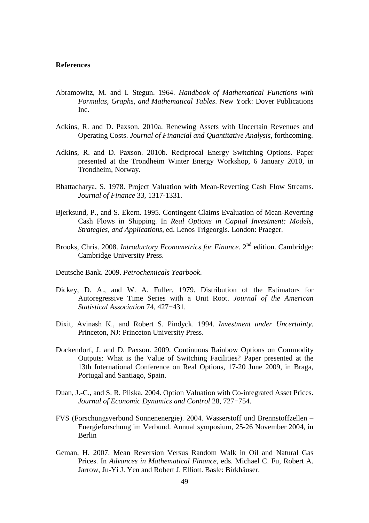## **References**

- Abramowitz, M. and I. Stegun. 1964. *Handbook of Mathematical Functions with Formulas, Graphs, and Mathematical Tables*. New York: Dover Publications Inc.
- Adkins, R. and D. Paxson. 2010a. Renewing Assets with Uncertain Revenues and Operating Costs. *Journal of Financial and Quantitative Analysis*, forthcoming.
- Adkins, R. and D. Paxson. 2010b. Reciprocal Energy Switching Options. Paper presented at the Trondheim Winter Energy Workshop, 6 January 2010, in Trondheim, Norway.
- Bhattacharya, S. 1978. Project Valuation with Mean-Reverting Cash Flow Streams. *Journal of Finance* 33, 1317-1331.
- Bjerksund, P., and S. Ekern. 1995. Contingent Claims Evaluation of Mean-Reverting Cash Flows in Shipping. In *Real Options in Capital Investment: Models, Strategies, and Applications*, ed. Lenos Trigeorgis. London: Praeger.
- Brooks, Chris. 2008. *Introductory Econometrics for Finance*. 2nd edition. Cambridge: Cambridge University Press.
- Deutsche Bank. 2009. *Petrochemicals Yearbook*.
- Dickey, D. A., and W. A. Fuller. 1979. Distribution of the Estimators for Autoregressive Time Series with a Unit Root. *Journal of the American Statistical Association* 74, 427−431.
- Dixit, Avinash K., and Robert S. Pindyck. 1994. *Investment under Uncertainty*. Princeton, NJ: Princeton University Press.
- Dockendorf, J. and D. Paxson. 2009. Continuous Rainbow Options on Commodity Outputs: What is the Value of Switching Facilities? Paper presented at the 13th International Conference on Real Options, 17-20 June 2009, in Braga, Portugal and Santiago, Spain.
- Duan, J.-C., and S. R. Pliska. 2004. Option Valuation with Co-integrated Asset Prices. *Journal of Economic Dynamics and Control* 28, 727−754.
- FVS (Forschungsverbund Sonnenenergie). 2004. Wasserstoff und Brennstoffzellen Energieforschung im Verbund. Annual symposium, 25-26 November 2004, in Berlin
- Geman, H. 2007. Mean Reversion Versus Random Walk in Oil and Natural Gas Prices. In *Advances in Mathematical Finance*, eds. Michael C. Fu, Robert A. Jarrow, Ju-Yi J. Yen and Robert J. Elliott. Basle: Birkhäuser.